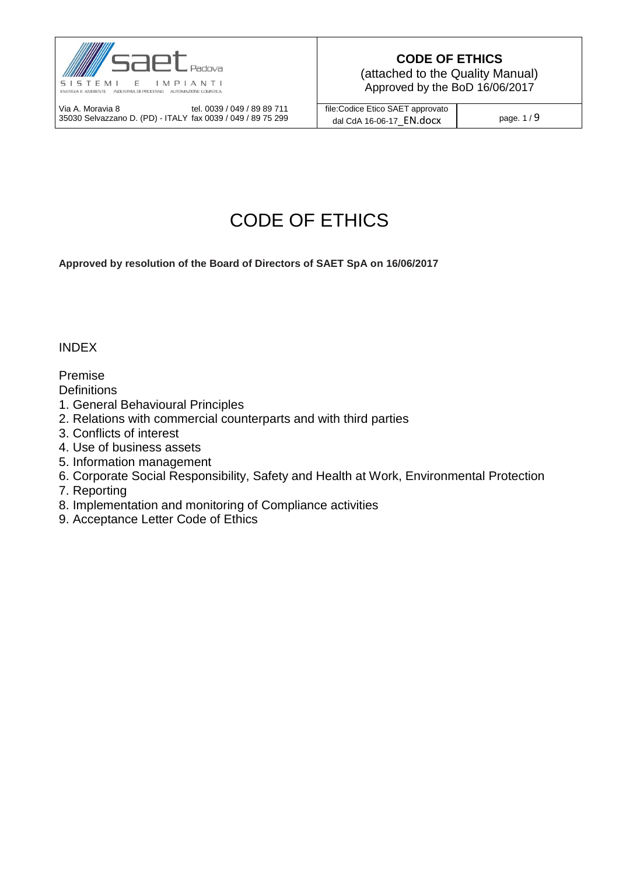

(attached to the Quality Manual) Approved by the BoD 16/06/2017

Via A. Moravia 8 tel. 0039 / 049 / 89 89 711 35030 Selvazzano D. (PD) - ITALY fax 0039 / 049 / 89 75 299 file:Codice Etico SAET approvato dal CdA 16-06-17  $\overline{EN.docx}$  page. 1 / 9

# CODE OF ETHICS

**Approved by resolution of the Board of Directors of SAET SpA on 16/06/2017**

INDEX

Premise

**Definitions** 

- 1. General Behavioural Principles
- 2. Relations with commercial counterparts and with third parties
- 3. Conflicts of interest
- 4. Use of business assets
- 5. Information management
- 6. Corporate Social Responsibility, Safety and Health at Work, Environmental Protection
- 7. Reporting
- 8. Implementation and monitoring of Compliance activities
- 9. Acceptance Letter Code of Ethics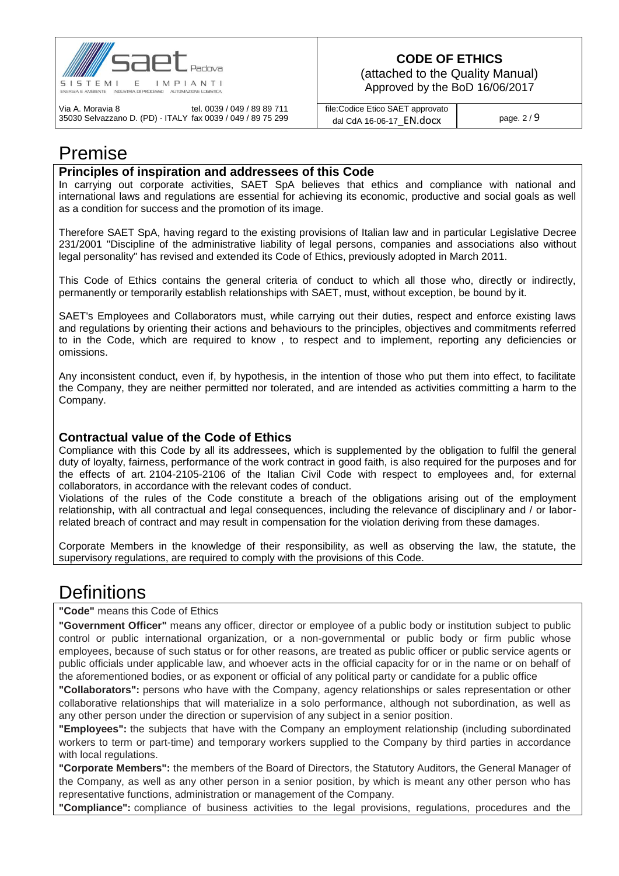

(attached to the Quality Manual) Approved by the BoD 16/06/2017

Via A. Moravia 8 tel. 0039 / 049 / 89 89 711 35030 Selvazzano D. (PD) - ITALY fax 0039 / 049 / 89 75 299 file:Codice Etico SAET approvato dal CdA 16-06-17  $\overline{EN.docx}$  page. 2 / 9

## Premise

#### **Principles of inspiration and addressees of this Code**

In carrying out corporate activities, SAET SpA believes that ethics and compliance with national and international laws and regulations are essential for achieving its economic, productive and social goals as well as a condition for success and the promotion of its image.

Therefore SAET SpA, having regard to the existing provisions of Italian law and in particular Legislative Decree 231/2001 "Discipline of the administrative liability of legal persons, companies and associations also without legal personality" has revised and extended its Code of Ethics, previously adopted in March 2011.

This Code of Ethics contains the general criteria of conduct to which all those who, directly or indirectly, permanently or temporarily establish relationships with SAET, must, without exception, be bound by it.

SAET's Employees and Collaborators must, while carrying out their duties, respect and enforce existing laws and regulations by orienting their actions and behaviours to the principles, objectives and commitments referred to in the Code, which are required to know , to respect and to implement, reporting any deficiencies or omissions.

Any inconsistent conduct, even if, by hypothesis, in the intention of those who put them into effect, to facilitate the Company, they are neither permitted nor tolerated, and are intended as activities committing a harm to the Company.

#### **Contractual value of the Code of Ethics**

Compliance with this Code by all its addressees, which is supplemented by the obligation to fulfil the general duty of loyalty, fairness, performance of the work contract in good faith, is also required for the purposes and for the effects of art. 2104-2105-2106 of the Italian Civil Code with respect to employees and, for external collaborators, in accordance with the relevant codes of conduct.

Violations of the rules of the Code constitute a breach of the obligations arising out of the employment relationship, with all contractual and legal consequences, including the relevance of disciplinary and / or laborrelated breach of contract and may result in compensation for the violation deriving from these damages.

Corporate Members in the knowledge of their responsibility, as well as observing the law, the statute, the supervisory regulations, are required to comply with the provisions of this Code.

# **Definitions**

**"Code"** means this Code of Ethics

**"Government Officer"** means any officer, director or employee of a public body or institution subject to public control or public international organization, or a non-governmental or public body or firm public whose employees, because of such status or for other reasons, are treated as public officer or public service agents or public officials under applicable law, and whoever acts in the official capacity for or in the name or on behalf of the aforementioned bodies, or as exponent or official of any political party or candidate for a public office

**"Collaborators":** persons who have with the Company, agency relationships or sales representation or other collaborative relationships that will materialize in a solo performance, although not subordination, as well as any other person under the direction or supervision of any subject in a senior position.

**"Employees":** the subjects that have with the Company an employment relationship (including subordinated workers to term or part-time) and temporary workers supplied to the Company by third parties in accordance with local regulations.

**"Corporate Members":** the members of the Board of Directors, the Statutory Auditors, the General Manager of the Company, as well as any other person in a senior position, by which is meant any other person who has representative functions, administration or management of the Company.

**"Compliance":** compliance of business activities to the legal provisions, regulations, procedures and the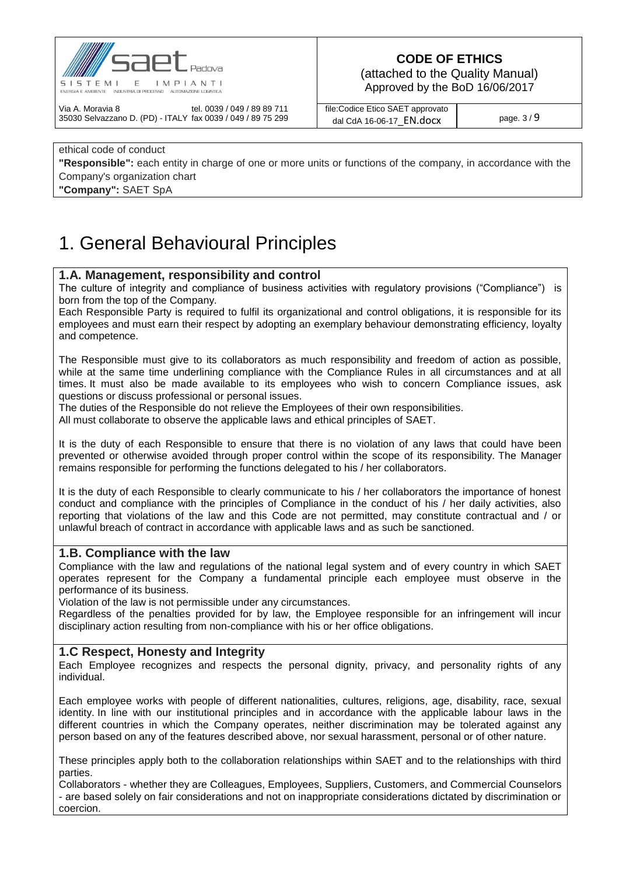

(attached to the Quality Manual) Approved by the BoD 16/06/2017

Via A. Moravia 8 tel. 0039 / 049 / 89 89 711 35030 Selvazzano D. (PD) - ITALY fax 0039 / 049 / 89 75 299 file:Codice Etico SAET approvato dal CdA 16-06-17  $\overline{EN.docx}$  page. 3/9

### ethical code of conduct **"Responsible":** each entity in charge of one or more units or functions of the company, in accordance with the Company's organization chart

**"Company":** SAET SpA

# 1. General Behavioural Principles

### **1.A. Management, responsibility and control**

The culture of integrity and compliance of business activities with regulatory provisions ("Compliance") is born from the top of the Company.

Each Responsible Party is required to fulfil its organizational and control obligations, it is responsible for its employees and must earn their respect by adopting an exemplary behaviour demonstrating efficiency, loyalty and competence.

The Responsible must give to its collaborators as much responsibility and freedom of action as possible, while at the same time underlining compliance with the Compliance Rules in all circumstances and at all times. It must also be made available to its employees who wish to concern Compliance issues, ask questions or discuss professional or personal issues.

The duties of the Responsible do not relieve the Employees of their own responsibilities.

All must collaborate to observe the applicable laws and ethical principles of SAET.

It is the duty of each Responsible to ensure that there is no violation of any laws that could have been prevented or otherwise avoided through proper control within the scope of its responsibility. The Manager remains responsible for performing the functions delegated to his / her collaborators.

It is the duty of each Responsible to clearly communicate to his / her collaborators the importance of honest conduct and compliance with the principles of Compliance in the conduct of his / her daily activities, also reporting that violations of the law and this Code are not permitted, may constitute contractual and / or unlawful breach of contract in accordance with applicable laws and as such be sanctioned.

#### **1.B. Compliance with the law**

Compliance with the law and regulations of the national legal system and of every country in which SAET operates represent for the Company a fundamental principle each employee must observe in the performance of its business.

Violation of the law is not permissible under any circumstances.

Regardless of the penalties provided for by law, the Employee responsible for an infringement will incur disciplinary action resulting from non-compliance with his or her office obligations.

#### **1.C Respect, Honesty and Integrity**

Each Employee recognizes and respects the personal dignity, privacy, and personality rights of any individual.

Each employee works with people of different nationalities, cultures, religions, age, disability, race, sexual identity. In line with our institutional principles and in accordance with the applicable labour laws in the different countries in which the Company operates, neither discrimination may be tolerated against any person based on any of the features described above, nor sexual harassment, personal or of other nature.

These principles apply both to the collaboration relationships within SAET and to the relationships with third parties.

Collaborators - whether they are Colleagues, Employees, Suppliers, Customers, and Commercial Counselors - are based solely on fair considerations and not on inappropriate considerations dictated by discrimination or coercion.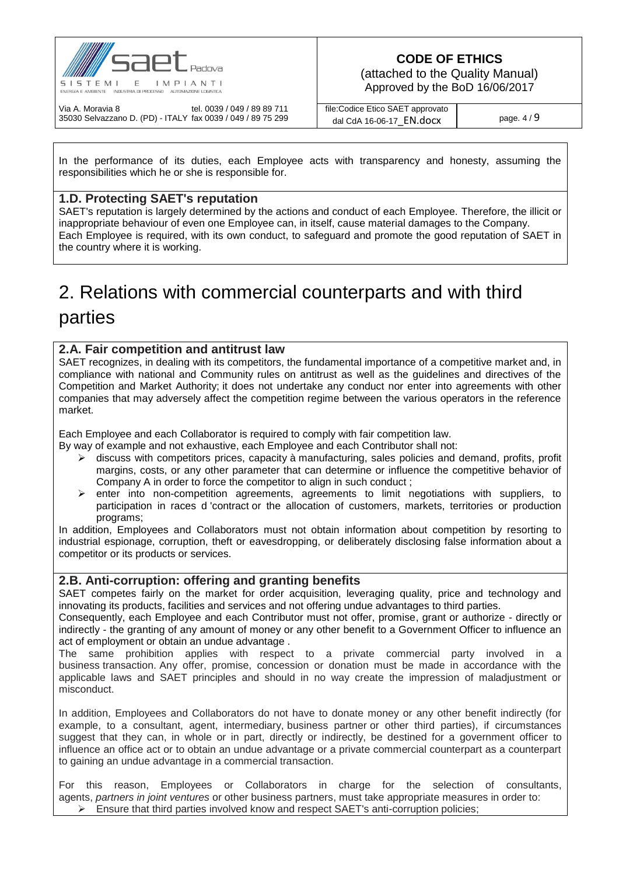

(attached to the Quality Manual) Approved by the BoD 16/06/2017

Via A. Moravia 8 tel. 0039 / 049 / 89 89 711 35030 Selvazzano D. (PD) - ITALY fax 0039 / 049 / 89 75 299 file:Codice Etico SAET approvato dal CdA 16-06-17  $\overline{EN.docx}$  page. 4 / 9

In the performance of its duties, each Employee acts with transparency and honesty, assuming the responsibilities which he or she is responsible for.

### **1.D. Protecting SAET's reputation**

SAET's reputation is largely determined by the actions and conduct of each Employee. Therefore, the illicit or inappropriate behaviour of even one Employee can, in itself, cause material damages to the Company. Each Employee is required, with its own conduct, to safeguard and promote the good reputation of SAET in the country where it is working.

# 2. Relations with commercial counterparts and with third parties

### **2.A. Fair competition and antitrust law**

SAET recognizes, in dealing with its competitors, the fundamental importance of a competitive market and, in compliance with national and Community rules on antitrust as well as the guidelines and directives of the Competition and Market Authority; it does not undertake any conduct nor enter into agreements with other companies that may adversely affect the competition regime between the various operators in the reference market.

Each Employee and each Collaborator is required to comply with fair competition law.

By way of example and not exhaustive, each Employee and each Contributor shall not:

- $\triangleright$  discuss with competitors prices, capacity à manufacturing, sales policies and demand, profits, profit margins, costs, or any other parameter that can determine or influence the competitive behavior of Company A in order to force the competitor to align in such conduct ;
- enter into non-competition agreements, agreements to limit negotiations with suppliers, to participation in races d 'contract or the allocation of customers, markets, territories or production programs;

In addition, Employees and Collaborators must not obtain information about competition by resorting to industrial espionage, corruption, theft or eavesdropping, or deliberately disclosing false information about a competitor or its products or services.

#### **2.B. Anti-corruption: offering and granting benefits**

SAET competes fairly on the market for order acquisition, leveraging quality, price and technology and innovating its products, facilities and services and not offering undue advantages to third parties.

Consequently, each Employee and each Contributor must not offer, promise, grant or authorize - directly or indirectly - the granting of any amount of money or any other benefit to a Government Officer to influence an act of employment or obtain an undue advantage .

The same prohibition applies with respect to a private commercial party involved in a business transaction. Any offer, promise, concession or donation must be made in accordance with the applicable laws and SAET principles and should in no way create the impression of maladjustment or misconduct.

In addition, Employees and Collaborators do not have to donate money or any other benefit indirectly (for example, to a consultant, agent, intermediary, business partner or other third parties), if circumstances suggest that they can, in whole or in part, directly or indirectly, be destined for a government officer to influence an office act or to obtain an undue advantage or a private commercial counterpart as a counterpart to gaining an undue advantage in a commercial transaction.

For this reason, Employees or Collaborators in charge for the selection of consultants, agents, *partners in joint ventures* or other business partners, must take appropriate measures in order to:  $\triangleright$  Ensure that third parties involved know and respect SAET's anti-corruption policies;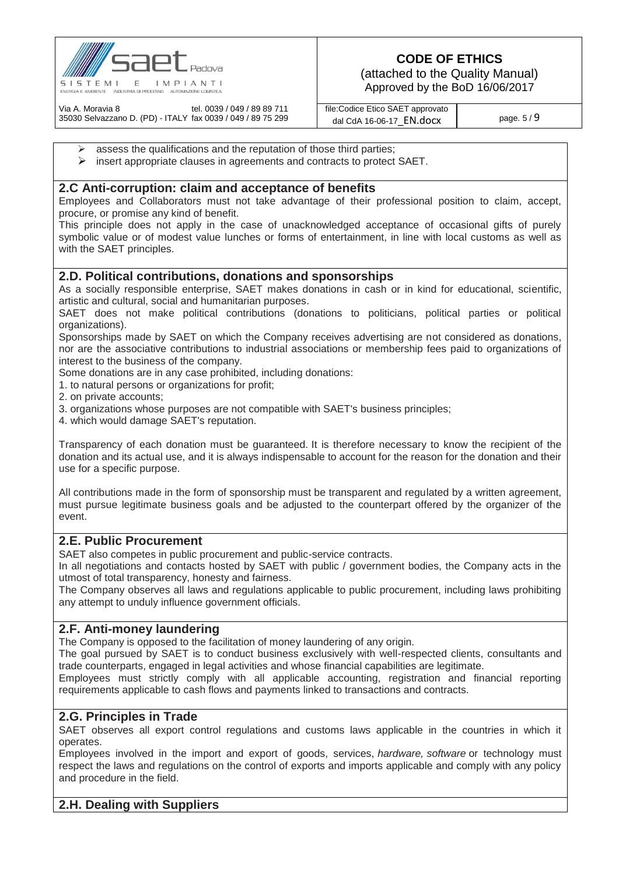

(attached to the Quality Manual) Approved by the BoD 16/06/2017

Via A. Moravia 8 tel. 0039 / 049 / 89 89 711 35030 Selvazzano D. (PD) - ITALY fax 0039 / 049 / 89 75 299 file:Codice Etico SAET approvato dal CdA 16-06-17  $\overline{EN.docx}$  page. 5/9

- $\triangleright$  assess the qualifications and the reputation of those third parties;
- $\triangleright$  insert appropriate clauses in agreements and contracts to protect SAET.

#### **2.C Anti-corruption: claim and acceptance of benefits**

Employees and Collaborators must not take advantage of their professional position to claim, accept, procure, or promise any kind of benefit.

This principle does not apply in the case of unacknowledged acceptance of occasional gifts of purely symbolic value or of modest value lunches or forms of entertainment, in line with local customs as well as with the SAET principles.

#### **2.D. Political contributions, donations and sponsorships**

As a socially responsible enterprise, SAET makes donations in cash or in kind for educational, scientific, artistic and cultural, social and humanitarian purposes.

SAET does not make political contributions (donations to politicians, political parties or political organizations).

Sponsorships made by SAET on which the Company receives advertising are not considered as donations, nor are the associative contributions to industrial associations or membership fees paid to organizations of interest to the business of the company.

Some donations are in any case prohibited, including donations:

1. to natural persons or organizations for profit;

2. on private accounts;

- 3. organizations whose purposes are not compatible with SAET's business principles;
- 4. which would damage SAET's reputation.

Transparency of each donation must be guaranteed. It is therefore necessary to know the recipient of the donation and its actual use, and it is always indispensable to account for the reason for the donation and their use for a specific purpose.

All contributions made in the form of sponsorship must be transparent and regulated by a written agreement, must pursue legitimate business goals and be adjusted to the counterpart offered by the organizer of the event.

#### **2.E. Public Procurement**

SAET also competes in public procurement and public-service contracts.

In all negotiations and contacts hosted by SAET with public / government bodies, the Company acts in the utmost of total transparency, honesty and fairness.

The Company observes all laws and regulations applicable to public procurement, including laws prohibiting any attempt to unduly influence government officials.

#### **2.F. Anti-money laundering**

The Company is opposed to the facilitation of money laundering of any origin.

The goal pursued by SAET is to conduct business exclusively with well-respected clients, consultants and trade counterparts, engaged in legal activities and whose financial capabilities are legitimate.

Employees must strictly comply with all applicable accounting, registration and financial reporting requirements applicable to cash flows and payments linked to transactions and contracts.

#### **2.G. Principles in Trade**

SAET observes all export control regulations and customs laws applicable in the countries in which it operates.

Employees involved in the import and export of goods, services, *hardware, software* or technology must respect the laws and regulations on the control of exports and imports applicable and comply with any policy and procedure in the field.

#### **2.H. Dealing with Suppliers**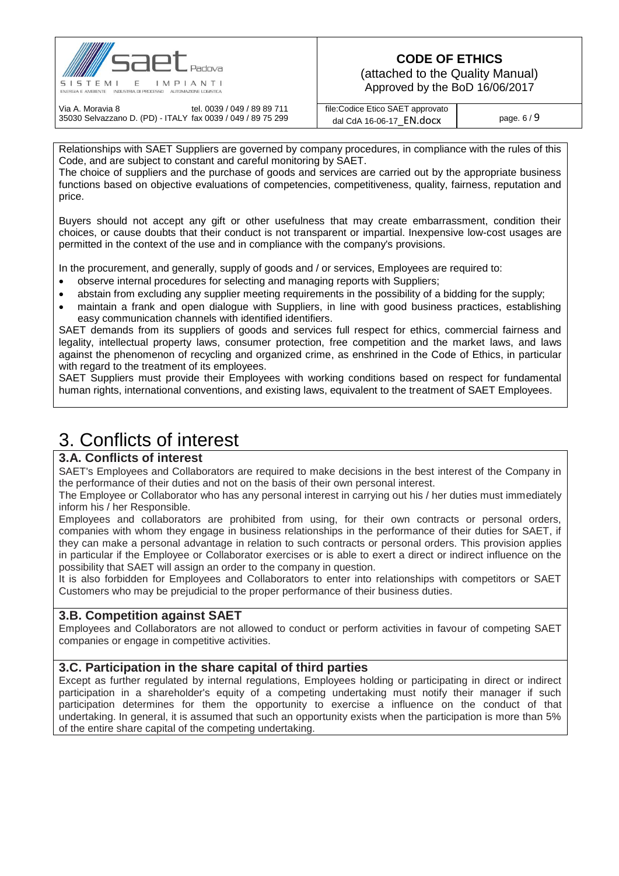

(attached to the Quality Manual) Approved by the BoD 16/06/2017

Via A. Moravia 8 tel. 0039 / 049 / 89 89 711 35030 Selvazzano D. (PD) - ITALY fax 0039 / 049 / 89 75 299 file:Codice Etico SAET approvato dal CdA 16-06-17  $\overline{EN.docx}$  page. 6 / 9

Relationships with SAET Suppliers are governed by company procedures, in compliance with the rules of this Code, and are subject to constant and careful monitoring by SAET.

The choice of suppliers and the purchase of goods and services are carried out by the appropriate business functions based on objective evaluations of competencies, competitiveness, quality, fairness, reputation and price.

Buyers should not accept any gift or other usefulness that may create embarrassment, condition their choices, or cause doubts that their conduct is not transparent or impartial. Inexpensive low-cost usages are permitted in the context of the use and in compliance with the company's provisions.

In the procurement, and generally, supply of goods and / or services, Employees are required to:

- observe internal procedures for selecting and managing reports with Suppliers;
- abstain from excluding any supplier meeting requirements in the possibility of a bidding for the supply;
- maintain a frank and open dialogue with Suppliers, in line with good business practices, establishing easy communication channels with identified identifiers.

SAET demands from its suppliers of goods and services full respect for ethics, commercial fairness and legality, intellectual property laws, consumer protection, free competition and the market laws, and laws against the phenomenon of recycling and organized crime, as enshrined in the Code of Ethics, in particular with regard to the treatment of its employees.

SAET Suppliers must provide their Employees with working conditions based on respect for fundamental human rights, international conventions, and existing laws, equivalent to the treatment of SAET Employees.

## 3. Conflicts of interest

### **3.A. Conflicts of interest**

SAET's Employees and Collaborators are required to make decisions in the best interest of the Company in the performance of their duties and not on the basis of their own personal interest.

The Employee or Collaborator who has any personal interest in carrying out his / her duties must immediately inform his / her Responsible.

Employees and collaborators are prohibited from using, for their own contracts or personal orders, companies with whom they engage in business relationships in the performance of their duties for SAET, if they can make a personal advantage in relation to such contracts or personal orders. This provision applies in particular if the Employee or Collaborator exercises or is able to exert a direct or indirect influence on the possibility that SAET will assign an order to the company in question.

It is also forbidden for Employees and Collaborators to enter into relationships with competitors or SAET Customers who may be prejudicial to the proper performance of their business duties.

#### **3.B. Competition against SAET**

Employees and Collaborators are not allowed to conduct or perform activities in favour of competing SAET companies or engage in competitive activities.

#### **3.C. Participation in the share capital of third parties**

Except as further regulated by internal regulations, Employees holding or participating in direct or indirect participation in a shareholder's equity of a competing undertaking must notify their manager if such participation determines for them the opportunity to exercise a influence on the conduct of that undertaking. In general, it is assumed that such an opportunity exists when the participation is more than 5% of the entire share capital of the competing undertaking.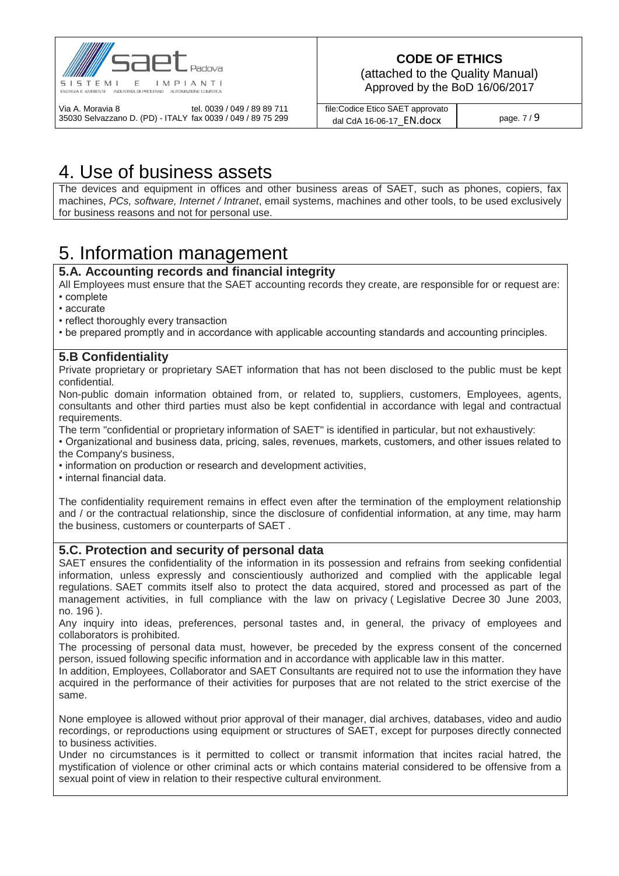

(attached to the Quality Manual) Approved by the BoD 16/06/2017

Via A. Moravia 8 tel. 0039 / 049 / 89 89 711 35030 Selvazzano D. (PD) - ITALY fax 0039 / 049 / 89 75 299 file:Codice Etico SAET approvato dal CdA 16-06-17  $\overline{EN.docx}$  page. 7 / 9

# 4. Use of business assets

The devices and equipment in offices and other business areas of SAET, such as phones, copiers, fax machines, *PCs, software, Internet / Intranet*, email systems, machines and other tools, to be used exclusively for business reasons and not for personal use.

# 5. Information management

### **5.A. Accounting records and financial integrity**

All Employees must ensure that the SAET accounting records they create, are responsible for or request are: • complete

- accurate
- reflect thoroughly every transaction
- be prepared promptly and in accordance with applicable accounting standards and accounting principles.

### **5.B Confidentiality**

Private proprietary or proprietary SAET information that has not been disclosed to the public must be kept confidential.

Non-public domain information obtained from, or related to, suppliers, customers, Employees, agents, consultants and other third parties must also be kept confidential in accordance with legal and contractual requirements.

The term "confidential or proprietary information of SAET" is identified in particular, but not exhaustively:

• Organizational and business data, pricing, sales, revenues, markets, customers, and other issues related to the Company's business,

• information on production or research and development activities,

• internal financial data.

The confidentiality requirement remains in effect even after the termination of the employment relationship and / or the contractual relationship, since the disclosure of confidential information, at any time, may harm the business, customers or counterparts of SAET .

### **5.C. Protection and security of personal data**

SAET ensures the confidentiality of the information in its possession and refrains from seeking confidential information, unless expressly and conscientiously authorized and complied with the applicable legal regulations. SAET commits itself also to protect the data acquired, stored and processed as part of the management activities, in full compliance with the law on privacy ( [Legislative Decree](https://translate.google.com/translate?hl=it&prev=_t&sl=it&tl=en&u=https://it.wikipedia.org/wiki/Decreto_legislativo) [30 June 2003,](https://translate.google.com/translate?hl=it&prev=_t&sl=it&tl=en&u=http://www.normattiva.it/uri-res/N2Ls%3Furn:nir:stato:decreto.legislativo:2003-06-30%3B196%2521vig%3D)  [no.](https://translate.google.com/translate?hl=it&prev=_t&sl=it&tl=en&u=http://www.normattiva.it/uri-res/N2Ls%3Furn:nir:stato:decreto.legislativo:2003-06-30%3B196%2521vig%3D) [196](https://translate.google.com/translate?hl=it&prev=_t&sl=it&tl=en&u=http://www.normattiva.it/uri-res/N2Ls%3Furn:nir:stato:decreto.legislativo:2003-06-30%3B196%2521vig%3D) ).

Any inquiry into ideas, preferences, personal tastes and, in general, the privacy of employees and collaborators is prohibited.

The processing of personal data must, however, be preceded by the express consent of the concerned person, issued following specific information and in accordance with applicable law in this matter.

In addition, Employees, Collaborator and SAET Consultants are required not to use the information they have acquired in the performance of their activities for purposes that are not related to the strict exercise of the same.

None employee is allowed without prior approval of their manager, dial archives, databases, video and audio recordings, or reproductions using equipment or structures of SAET, except for purposes directly connected to business activities.

Under no circumstances is it permitted to collect or transmit information that incites racial hatred, the mystification of violence or other criminal acts or which contains material considered to be offensive from a sexual point of view in relation to their respective cultural environment.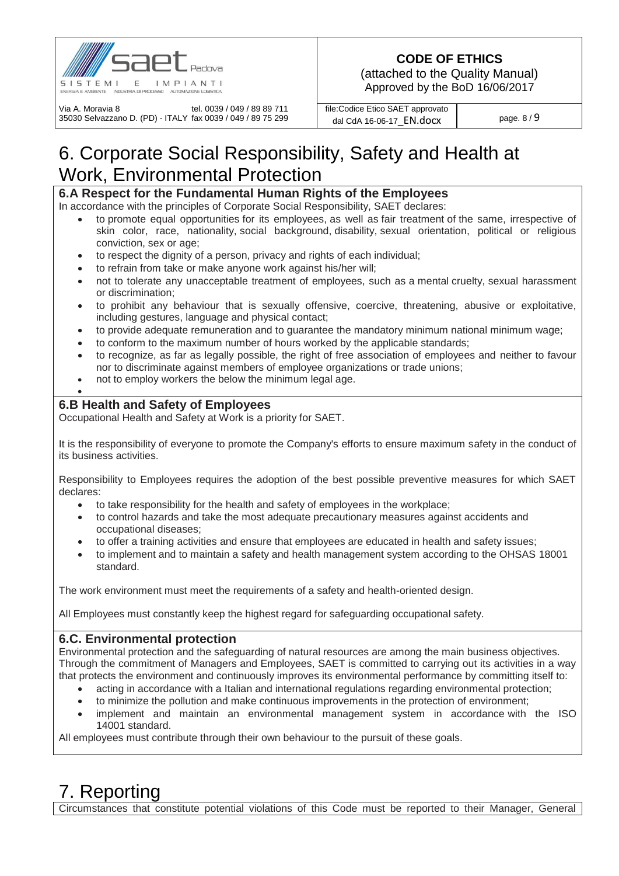

(attached to the Quality Manual) Approved by the BoD 16/06/2017

Via A. Moravia 8 tel. 0039 / 049 / 89 89 711 35030 Selvazzano D. (PD) - ITALY fax 0039 / 049 / 89 75 299 file:Codice Etico SAET approvato dal CdA 16-06-17  $\overline{EN.docx}$  page. 8 / 9

# 6. Corporate Social Responsibility, Safety and Health at Work, Environmental Protection

### **6.A Respect for the Fundamental Human Rights of the Employees**

In accordance with the principles of Corporate Social Responsibility, SAET declares:

- to promote equal opportunities for its employees, as well as fair treatment of the same, irrespective of skin color, race, nationality, social background, disability, sexual orientation, political or religious conviction, sex or age;
- to respect the dignity of a person, privacy and rights of each individual;
- to refrain from take or make anyone work against his/her will;
- not to tolerate any unacceptable treatment of employees, such as a mental cruelty, sexual harassment or discrimination;
- to prohibit any behaviour that is sexually offensive, coercive, threatening, abusive or exploitative, including gestures, language and physical contact;
- to provide adequate remuneration and to guarantee the mandatory minimum national minimum wage;
- to conform to the maximum number of hours worked by the applicable standards;
- to recognize, as far as legally possible, the right of free association of employees and neither to favour nor to discriminate against members of employee organizations or trade unions;
- not to employ workers the below the minimum legal age.

### **6.B Health and Safety of Employees**

 $\bullet$ 

Occupational Health and Safety at Work is a priority for SAET.

It is the responsibility of everyone to promote the Company's efforts to ensure maximum safety in the conduct of its business activities.

Responsibility to Employees requires the adoption of the best possible preventive measures for which SAET declares:

- to take responsibility for the health and safety of employees in the workplace;
- to control hazards and take the most adequate precautionary measures against accidents and occupational diseases;
- to offer a training activities and ensure that employees are educated in health and safety issues;
- to implement and to maintain a safety and health management system according to the OHSAS 18001 standard.

The work environment must meet the requirements of a safety and health-oriented design.

All Employees must constantly keep the highest regard for safeguarding occupational safety.

#### **6.C. Environmental protection**

Environmental protection and the safeguarding of natural resources are among the main business objectives. Through the commitment of Managers and Employees, SAET is committed to carrying out its activities in a way that protects the environment and continuously improves its environmental performance by committing itself to:

- acting in accordance with a Italian and international regulations regarding environmental protection;
- to minimize the pollution and make continuous improvements in the protection of environment;
- implement and maintain an environmental management system in accordance with the ISO 14001 standard.

All employees must contribute through their own behaviour to the pursuit of these goals.

# 7. Reporting

Circumstances that constitute potential violations of this Code must be reported to their Manager, General